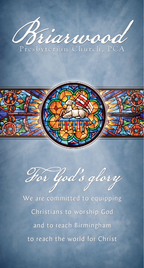



Hor God's glory

We are committed to equipping Christians to worship God and to reach Birmingham to reach the world for Christ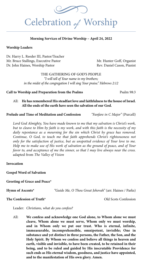

#### **Morning Services of Divine Worship – April 24, 2022**

#### **Worship Leaders**

Dr. Harry L. Reeder III, Pastor/Teacher Mr. Bruce Stallings, Executive Pastor Mr. Hunter Goff, Organist Dr. John Haines, Worship Pastor **Rev. Daniel Cason, Pianist** 

THE GATHERING OF GOD'S PEOPLE *"I will tell of Your name to my brothers; in the midst of the congregation I will sing Your praise." Hebrews 2:12*

**Call to Worship and Preparation from the Psalms** Psalm 98:3

All: **He has remembered His steadfast love and faithfulness to the house of Israel. All the ends of the earth have seen the salvation of our God.**

**Prelude and Time of Meditation and Confession** *"Fanfare in C Major"* (Purcell)

*Lord God Almighty, You have made known to me that my salvation is Christ's work, but to cleave to Him by faith is my work, and with this faith is the necessity of my*  daily repentance as a mourning for the sin which Christ by grace has removed. *Continue, O God, to teach me that faith apprehends Christ's righteousness not only for the satisfaction of justice, but as unspotted evidence of Your love to me. Help me to make use of His work of salvation as the ground of peace, and of Your favor to, and acceptance of me the sinner, so that I may live always near the cross.*  adapted from *The Valley of Vision*

#### **Invocation**

**Gospel Word of Salvation**

**Greeting of Grace and Peace\*** 

**Hymn of Ascents\*** *"Guide Me, O Thou Great Jehovah"* (arr. Haines / Parks)

#### **The Confession of Truth<sup>\*</sup>** 2008 Confession

Leader: *Christians, what do you confess?*

All: **We confess and acknowledge one God alone, to Whom alone we must cleave, Whom alone we must serve, Whom only we must worship, and in Whom only we put our trust. Who is eternal, infinite, immeasurable, incomprehensible, omnipotent, invisible; One in substance and yet distinct in three persons, the Father, the Son, and the Holy Spirit. By Whom we confess and believe all things in heaven and earth, visible and invisible, to have been created, to be retained in their being, and to be ruled and guided by His inscrutable Providence for such ends as His eternal wisdom, goodness, and justice have appointed, and to the manifestation of His own glory. Amen.**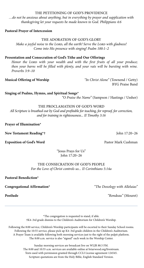#### THE PETITIONING OF GOD'S PROVIDENCE

do not be anxious about anything, but in everything by prayer and supplication with...<br>thanksgiving let your requests be made known to God. Philippians 4:6 *…do not be anxious about anything, but in everything by prayer and supplication with thanksgiving let your requests be made known to God. Philippians 4:6*

**Pastoral Prayer of Intercession** 

#### THE ADORATION OF GOD'S GLORY

*Make a joyful noise to the LORD, all the earth! Serve the LORD with gladness! Come into His presence with singing! Psalm 100:1–2*

#### **Presentation and Consecration of God's Tithe and Our Offerings**

Honor the LORD with your wealth and with the first fruits of all your produce; *then your barns will be filled with plenty, and your vats will be bursting with wine. Proverbs 3:9–10*

**Musical Offering of Worship** *"In Christ Alone"* (Townend / Getty) BYG Praise Band

**Singing of Psalms, Hymns, and Spiritual Songs\*** *"O Praise the Name"* (Sampson / Hastings / Ussher)

THE PROCLAMATION OF GOD'S WORD

*All Scripture is breathed out by God and profitable for teaching, for reproof, for correction, and for training in righteousness... II Timothy 3:16*

**Prayer of Illumination\***

**New Testament Reading\*†** John 17:20–26

**Exposition of God's Word Pastor Mark Cushman Pastor Mark Cushman** 

"Jesus Prays for Us" John 17:20–26

#### THE CONSECRATION OF GOD'S PEOPLE *For the Love of Christ controls us... II Corinthians 5:14a*

**Pastoral Benediction\***

**Congregational Affirmation\*** *"The Doxology with Alleluias"*

**Postlude** *"Rondeau"* (Mouret)

\*The congregation is requested to stand, if able. †K4–3rd grade dismiss to the Children's Auditorium for Children's Worship.

Following the 8:00 service, Children's Worship participants will be escorted to their Sunday School rooms. Following the 10:55 service, please pick up K4-3rd grade children in the Children's Auditorium. A Prayer Team is available following both morning services just to the right of the pulpit platform. The 8:00 a.m. service is also "signed" each week in the Worship Center.

> Sunday morning services are broadcast live on WLJR 88.5 FM. The 8:00 and 10:55 a.m. services are available online at briarwood.org/livestream. Texts used with permission granted through CCLI License agreement 124545. Scripture quotations are from the Holy Bible, English Standard Version.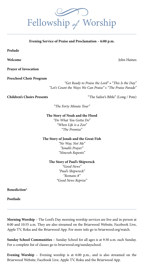**Evening Service of Praise and Proclamation – 6:00 p.m.**

**Prelude** 

**Prayer of Invocation** 

**Preschool Choir Program**

*"Get Ready to Praise the Lord" • "This Is the Day" "Let's Count the Ways We Can Praise" • "The Praise Parade"*

**Children's Choirs Presents** "The Sailor's Bible" (Long / Pote)

*"The Forty Minute Tour"*

**The Story of Noah and the Flood**

*"Do What You Gotta Do" "When Life is a Zoo" "The Promise"*

**The Story of Jonah and the Great Fish**

*"No Way, Not Me" "Jonah's Prayer" "Nineveh Repents"*

**The Story of Paul's Shipwreck**

*"Good News" "Paul's Shipwreck" "Romans 8" "Good News Reprise"*

**Benediction\*** 

**Postlude** 

**Morning Worship** – The Lord's Day morning worship services are live and in person at 8:00 and 10:55 a.m. They are also streamed on the Briarwood Website, Facebook Live, Apple TV, Roku and the Briarwood App. For more info go to briarwood.org/watch.

**Sunday School Communities** – Sunday School for all ages is at 9:30 a.m. each Sunday. For a complete list of classes go to briarwood.org/sundayschool.

**Evening Worship** – Evening worship is at 6:00 p.m., and is also streamed on the Briarwood Website, Facebook Live, Apple TV, Roku and the Briarwood App.



**Welcome** John Haines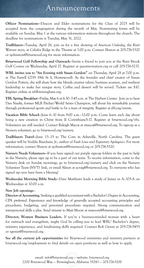### Announcements

**Officer Nominations—**Deacon and Elder nominations for the Class of 2025 will be accepted from the congregation during the month of May. Nominating forms will be available on Sunday, May 1 at the various information stations throughout the church. The deadline for nominations is Tuesday, May 31, 2022.

**Trailblazers—**Tuesday, April 26, join us for a free showing of *American Underdog*, the Kurt Warner story, at Cahaba Ridge in the Theatre at 1:00 p.m. Contact Sharon at 205-776-5320 or sjohnston@briarwood.org for more information.

**Briarwood Golf Fellowship and Outreach—**Invite a friend to join you at the Bent Brook Golf Course on Wednesday, April 27. Register at questrecreation.org or call 205-776-5237.

**WBL invites you to "An Evening with Susan Gordon"** on Thursday, April 28 at 7:00 p.m. at The Farrell (2719 19th St S, Homewood). As the founder and chief creator of Susan Gordon Pottery, she will share how she blends creative talent, business acumen, and resilient leadership to make her unique story. Coffee and dessert will be served. Tickets are \$10. Register online at wblbirmingham.org.

**YBL Spring Breakfast—**Friday, May 6 at 6:30–7:45 a.m. at The Harbert Center. Join us to hear Dan Naulty, former MLB Pitcher/World Series Champion, tell about his remarkable journey through professional sports and battle to be a man of integrity. Register at ybl.org/events.

**Vacation Bible School—**June 6–10 from 9:00 a.m.–12:00 p.m. Come learn each day about being a new creation in Christ from II Corinthians5:17. Register at briarwood.org/vbs. Volunteers are still needed. Contact Raleigh Macoy at rmacoy@briarwood.org. To sign-up as a Nursery volunteer, go to briarwood.org/nursery.

**Trailblazers Travel—**June 13–15 to The Cove in Asheville, North Carolina. The guest speaker will be Voddie Baucham, Jr., author of *Fault Lines* and *Expository Apologetics*. For more information, contact Sharon at sjohnston@briarwood.org or 205-776-5320.

**Nursery Needs Volunteers—**If you have signed our purple sign-up folders in the past to help in the Nursery, please sign up to be a part of our team. To receive information, come to the Nursery desk on Sunday mornings, go to briarwood.org/nursery and click on the Nursery Volunteer Team (NVT) link, or email Alison at acraig@briarwood.org. To everyone who has signed up—you have been a blessing!

**Wednesday Morning Bible Study—**Dave Matthews leads a study of James in A–105-A on Wednesdays at 10:00 a.m.

#### **New Job openings**—

**Director of Accounting.** Seeking a qualified accountant with a Bachelor's Degree in Accounting, CPA preferred. Experience and knowledge of generally accepted accounting principles and procedures, budgeting, and personnel procedures required. Strong communication and interpersonal skills a plus. Send résumé to Matt Moore at mmoore@briarwood.org.

**Director, Women Business Leaders.** If you're a business-minded woman with a heart for outreach and evangelism, might God be calling you to lead WBL? Bachelor's degree, ministry experience, and fundraising skills required. Contact Rob Genin at 205-776-5455 or rgenin@briarwood.org.

**See all the current job opportunities** for Briarwood ministries and ministry partners at briarwood.org/employment to find details on open positions as well as how to apply.